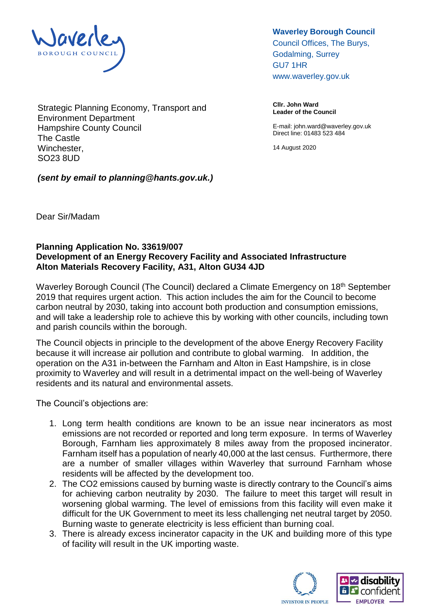

Council Offices, The Burys, Godalming, Surrey GU7 1HR

www.waverley.gov.uk

**Cllr. John Ward Leader of the Council** 

E-mail: john.ward@waverley.gov.uk Direct line: 01483 523 484

14 August 2020

Strategic Planning Economy, Transport and Environment Department Hampshire County Council The Castle Winchester, SO23 8UD

*(sent by email to planning@hants.gov.uk.)*

Dear Sir/Madam

## **Planning Application No. 33619/007 Development of an Energy Recovery Facility and Associated Infrastructure Alton Materials Recovery Facility, A31, Alton GU34 4JD**

Waverley Borough Council (The Council) declared a Climate Emergency on 18<sup>th</sup> September 2019 that requires urgent action. This action includes the aim for the Council to become carbon neutral by 2030, taking into account both production and consumption emissions, and will take a leadership role to achieve this by working with other councils, including town and parish councils within the borough.

The Council objects in principle to the development of the above Energy Recovery Facility because it will increase air pollution and contribute to global warming. In addition, the operation on the A31 in-between the Farnham and Alton in East Hampshire, is in close proximity to Waverley and will result in a detrimental impact on the well-being of Waverley residents and its natural and environmental assets.

The Council's objections are:

- 1. Long term health conditions are known to be an issue near incinerators as most emissions are not recorded or reported and long term exposure. In terms of Waverley Borough, Farnham lies approximately 8 miles away from the proposed incinerator. Farnham itself has a population of nearly 40,000 at the last census. Furthermore, there are a number of smaller villages within Waverley that surround Farnham whose residents will be affected by the development too.
- 2. The CO2 emissions caused by burning waste is directly contrary to the Council's aims for achieving carbon neutrality by 2030. The failure to meet this target will result in worsening global warming. The level of emissions from this facility will even make it difficult for the UK Government to meet its less challenging net neutral target by 2050. Burning waste to generate electricity is less efficient than burning coal.
- 3. There is already excess incinerator capacity in the UK and building more of this type of facility will result in the UK importing waste.



**Waverley Borough Council**